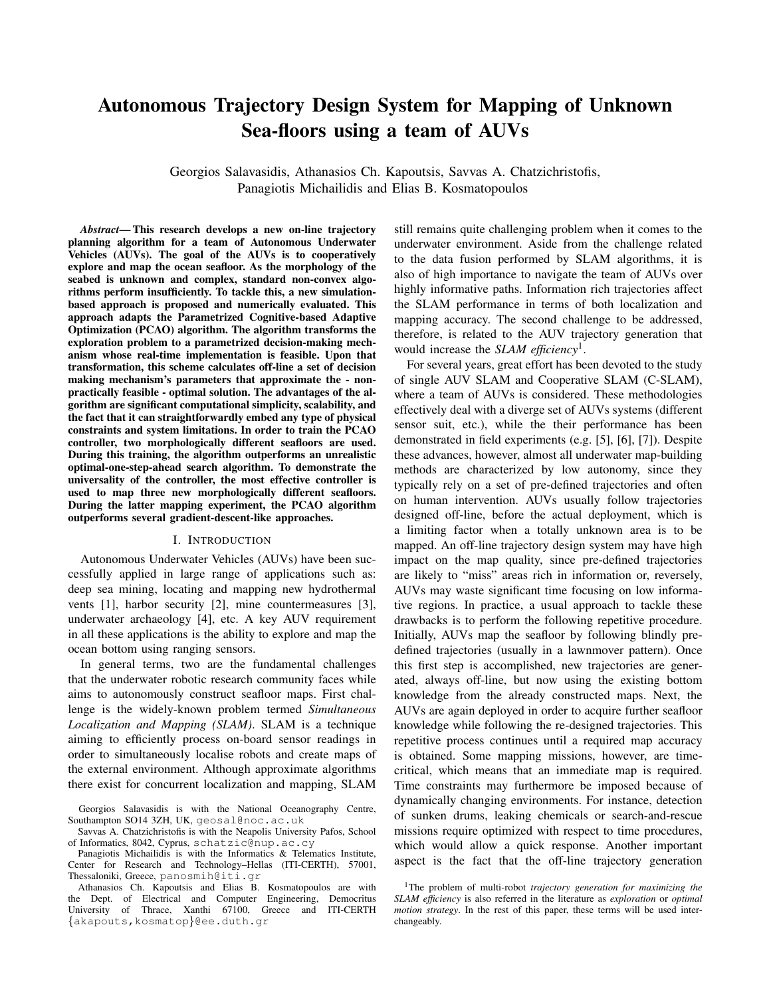# **Autonomous Trajectory Design System for Mapping of Unknown** Sea-floors using a team of AUVs

Georgios Salavasidis, Athanasios Ch. Kapoutsis, Savvas A. Chatzichristofis, Panagiotis Michailidis and Elias B. Kosmatopoulos

Abstract—This research develops a new on-line trajectory planning algorithm for a team of Autonomous Underwater Vehicles (AUVs). The goal of the AUVs is to cooperatively explore and map the ocean seafloor. As the morphology of the seabed is unknown and complex, standard non-convex algorithms perform insufficiently. To tackle this, a new simulationbased approach is proposed and numerically evaluated. This approach adapts the Parametrized Cognitive-based Adaptive Optimization (PCAO) algorithm. The algorithm transforms the exploration problem to a parametrized decision-making mechanism whose real-time implementation is feasible. Upon that transformation, this scheme calculates off-line a set of decision making mechanism's parameters that approximate the - nonpractically feasible - optimal solution. The advantages of the algorithm are significant computational simplicity, scalability, and the fact that it can straightforwardly embed any type of physical constraints and system limitations. In order to train the PCAO controller, two morphologically different seafloors are used. During this training, the algorithm outperforms an unrealistic optimal-one-step-ahead search algorithm. To demonstrate the universality of the controller, the most effective controller is used to map three new morphologically different seafloors. During the latter mapping experiment, the PCAO algorithm outperforms several gradient-descent-like approaches.

#### I. INTRODUCTION

Autonomous Underwater Vehicles (AUVs) have been successfully applied in large range of applications such as: deep sea mining, locating and mapping new hydrothermal vents  $[1]$ , harbor security  $[2]$ , mine countermeasures  $[3]$ , underwater archaeology [4], etc. A key AUV requirement in all these applications is the ability to explore and map the ocean bottom using ranging sensors.

In general terms, two are the fundamental challenges that the underwater robotic research community faces while aims to autonomously construct seafloor maps. First challenge is the widely-known problem termed Simultaneous Localization and Mapping (SLAM). SLAM is a technique aiming to efficiently process on-board sensor readings in order to simultaneously localise robots and create maps of the external environment. Although approximate algorithms there exist for concurrent localization and mapping, SLAM

still remains quite challenging problem when it comes to the underwater environment. Aside from the challenge related to the data fusion performed by SLAM algorithms, it is also of high importance to navigate the team of AUVs over highly informative paths. Information rich trajectories affect the SLAM performance in terms of both localization and mapping accuracy. The second challenge to be addressed, therefore, is related to the AUV trajectory generation that would increase the *SLAM efficiency*<sup>1</sup>.

For several years, great effort has been devoted to the study of single AUV SLAM and Cooperative SLAM (C-SLAM), where a team of AUVs is considered. These methodologies effectively deal with a diverge set of AUVs systems (different sensor suit, etc.), while the their performance has been demonstrated in field experiments (e.g.  $[5]$ ,  $[6]$ ,  $[7]$ ). Despite these advances, however, almost all underwater map-building methods are characterized by low autonomy, since they typically rely on a set of pre-defined trajectories and often on human intervention. AUVs usually follow trajectories designed off-line, before the actual deployment, which is a limiting factor when a totally unknown area is to be mapped. An off-line trajectory design system may have high impact on the map quality, since pre-defined trajectories are likely to "miss" areas rich in information or, reversely, AUVs may waste significant time focusing on low informative regions. In practice, a usual approach to tackle these drawbacks is to perform the following repetitive procedure. Initially, AUVs map the seafloor by following blindly predefined trajectories (usually in a lawnmover pattern). Once this first step is accomplished, new trajectories are generated, always off-line, but now using the existing bottom knowledge from the already constructed maps. Next, the AUVs are again deployed in order to acquire further seafloor knowledge while following the re-designed trajectories. This repetitive process continues until a required map accuracy is obtained. Some mapping missions, however, are timecritical, which means that an immediate map is required. Time constraints may furthermore be imposed because of dynamically changing environments. For instance, detection of sunken drums, leaking chemicals or search-and-rescue missions require optimized with respect to time procedures, which would allow a quick response. Another important aspect is the fact that the off-line trajectory generation

Georgios Salavasidis is with the National Oceanography Centre, Southampton SO14 3ZH, UK, geosal@noc.ac.uk

Savvas A. Chatzichristofis is with the Neapolis University Pafos, School of Informatics, 8042, Cyprus, schatzic@nup.ac.cy

Panagiotis Michailidis is with the Informatics & Telematics Institute. Center for Research and Technology-Hellas (ITI-CERTH), 57001, Thessaloniki, Greece, panosmih@iti.gr

Athanasios Ch. Kapoutsis and Elias B. Kosmatopoulos are with the Dept. of Electrical and Computer Engineering, Democritus University of Thrace, Xanthi 67100, Greece and ITI-CERTH {akapouts, kosmatop}@ee.duth.gr

<sup>&</sup>lt;sup>1</sup>The problem of multi-robot trajectory generation for maximizing the SLAM efficiency is also referred in the literature as exploration or optimal motion strategy. In the rest of this paper, these terms will be used interchangeably.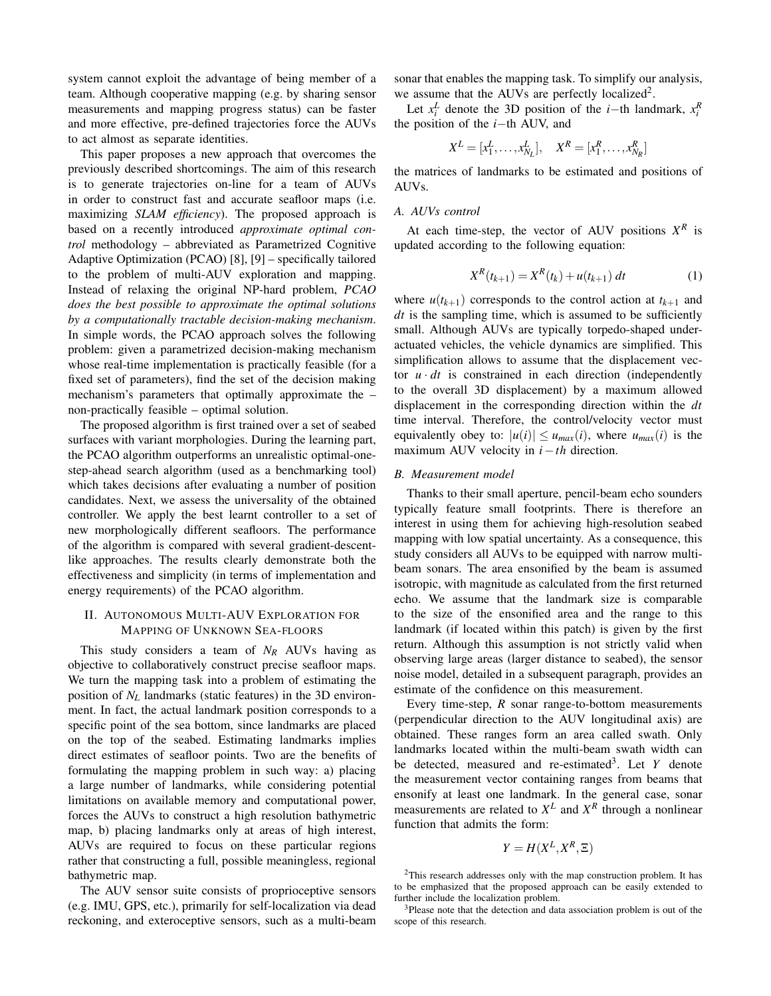system cannot exploit the advantage of being member of a team. Although cooperative mapping (e.g. by sharing sensor measurements and mapping progress status) can be faster and more effective, pre-defined trajectories force the AUVs to act almost as separate identities.

This paper proposes a new approach that overcomes the previously described shortcomings. The aim of this research is to generate trajectories on-line for a team of AUVs in order to construct fast and accurate seafloor maps (i.e. maximizing SLAM efficiency). The proposed approach is based on a recently introduced approximate optimal control methodology – abbreviated as Parametrized Cognitive Adaptive Optimization (PCAO) [8], [9] – specifically tailored to the problem of multi-AUV exploration and mapping. Instead of relaxing the original NP-hard problem, PCAO does the best possible to approximate the optimal solutions by a computationally tractable decision-making mechanism. In simple words, the PCAO approach solves the following problem: given a parametrized decision-making mechanism whose real-time implementation is practically feasible (for a fixed set of parameters), find the set of the decision making mechanism's parameters that optimally approximate the – non-practically feasible – optimal solution.

The proposed algorithm is first trained over a set of seabed surfaces with variant morphologies. During the learning part, the PCAO algorithm outperforms an unrealistic optimal-onestep-ahead search algorithm (used as a benchmarking tool) which takes decisions after evaluating a number of position candidates. Next, we assess the universality of the obtained controller. We apply the best learnt controller to a set of new morphologically different seafloors. The performance of the algorithm is compared with several gradient-descentlike approaches. The results clearly demonstrate both the effectiveness and simplicity (in terms of implementation and energy requirements) of the PCAO algorithm.

# **II. AUTONOMOUS MULTI-AUV EXPLORATION FOR** MAPPING OF UNKNOWN SEA-FLOORS

This study considers a team of  $N_R$  AUVs having as objective to collaboratively construct precise seafloor maps. We turn the mapping task into a problem of estimating the position of  $N_L$  landmarks (static features) in the 3D environment. In fact, the actual landmark position corresponds to a specific point of the sea bottom, since landmarks are placed on the top of the seabed. Estimating landmarks implies direct estimates of seafloor points. Two are the benefits of formulating the mapping problem in such way: a) placing a large number of landmarks, while considering potential limitations on available memory and computational power, forces the AUVs to construct a high resolution bathymetric map, b) placing landmarks only at areas of high interest, AUVs are required to focus on these particular regions rather that constructing a full, possible meaningless, regional bathymetric map.

The AUV sensor suite consists of proprioceptive sensors (e.g. IMU, GPS, etc.), primarily for self-localization via dead reckoning, and exteroceptive sensors, such as a multi-beam

sonar that enables the mapping task. To simplify our analysis, we assume that the AUVs are perfectly localized<sup>2</sup>.

Let  $x_i^L$  denote the 3D position of the *i*-th landmark,  $x_i^R$ the position of the  $i$ -th AUV, and

$$
X^{L} = [x_1^{L}, \dots, x_{N_L}^{L}], \quad X^{R} = [x_1^{R}, \dots, x_{N_R}^{R}]
$$

the matrices of landmarks to be estimated and positions of AUVs.

# A. AUVs control

At each time-step, the vector of AUV positions  $X^R$  is updated according to the following equation:

$$
X^{R}(t_{k+1}) = X^{R}(t_{k}) + u(t_{k+1}) dt
$$
 (1)

where  $u(t_{k+1})$  corresponds to the control action at  $t_{k+1}$  and *dt* is the sampling time, which is assumed to be sufficiently small. Although AUVs are typically torpedo-shaped underactuated vehicles, the vehicle dynamics are simplified. This simplification allows to assume that the displacement vector  $u \cdot dt$  is constrained in each direction (independently to the overall 3D displacement) by a maximum allowed displacement in the corresponding direction within the  $dt$ time interval. Therefore, the control/velocity vector must equivalently obey to:  $|u(i)| \le u_{max}(i)$ , where  $u_{max}(i)$  is the maximum AUV velocity in  $i-th$  direction.

#### **B.** Measurement model

Thanks to their small aperture, pencil-beam echo sounders typically feature small footprints. There is therefore an interest in using them for achieving high-resolution seabed mapping with low spatial uncertainty. As a consequence, this study considers all AUVs to be equipped with narrow multibeam sonars. The area ensonified by the beam is assumed isotropic, with magnitude as calculated from the first returned echo. We assume that the landmark size is comparable to the size of the ensonified area and the range to this landmark (if located within this patch) is given by the first return. Although this assumption is not strictly valid when observing large areas (larger distance to seabed), the sensor noise model, detailed in a subsequent paragraph, provides an estimate of the confidence on this measurement.

Every time-step,  $R$  sonar range-to-bottom measurements (perpendicular direction to the AUV longitudinal axis) are obtained. These ranges form an area called swath. Only landmarks located within the multi-beam swath width can be detected, measured and re-estimated<sup>3</sup>. Let Y denote the measurement vector containing ranges from beams that ensonify at least one landmark. In the general case, sonar measurements are related to  $X^L$  and  $X^R$  through a nonlinear function that admits the form:

$$
Y = H(X^L, X^R, \Xi)
$$

<sup>&</sup>lt;sup>2</sup>This research addresses only with the map construction problem. It has to be emphasized that the proposed approach can be easily extended to further include the localization problem.

<sup>&</sup>lt;sup>3</sup>Please note that the detection and data association problem is out of the scope of this research.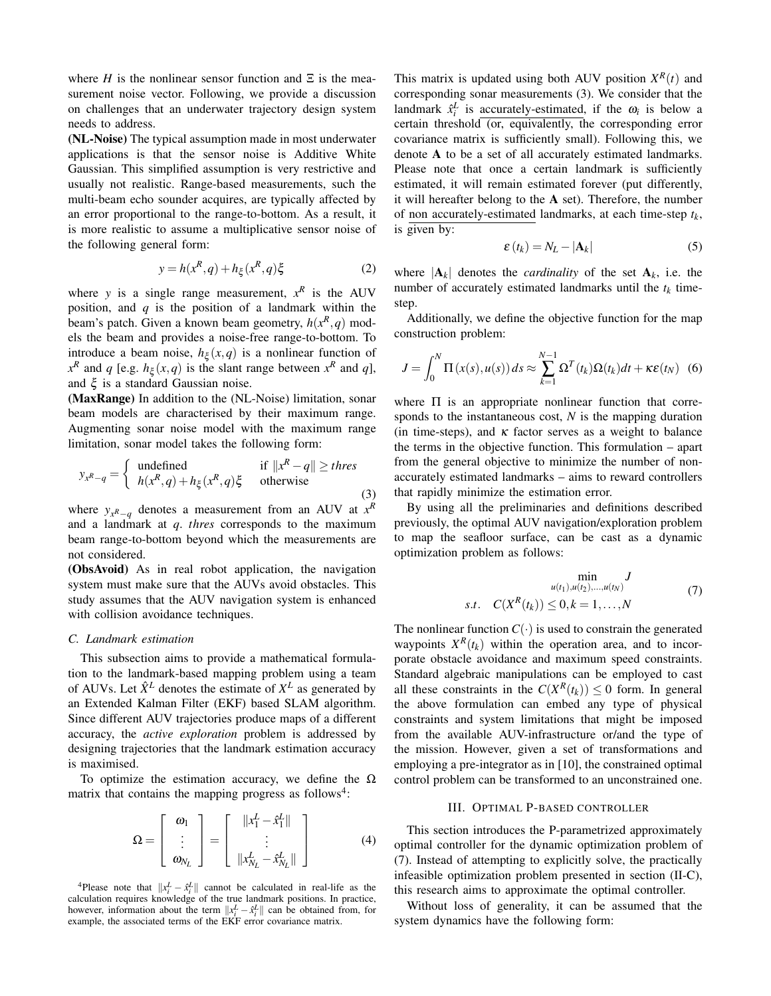where H is the nonlinear sensor function and  $\Xi$  is the measurement noise vector. Following, we provide a discussion on challenges that an underwater trajectory design system needs to address.

(NL-Noise) The typical assumption made in most underwater applications is that the sensor noise is Additive White Gaussian. This simplified assumption is very restrictive and usually not realistic. Range-based measurements, such the multi-beam echo sounder acquires, are typically affected by an error proportional to the range-to-bottom. As a result, it is more realistic to assume a multiplicative sensor noise of the following general form:

$$
y = h(x^R, q) + h_{\xi}(x^R, q)\xi
$$
 (2)

where y is a single range measurement,  $x^R$  is the AUV position, and  $q$  is the position of a landmark within the beam's patch. Given a known beam geometry,  $h(x^R, q)$  models the beam and provides a noise-free range-to-bottom. To introduce a beam noise,  $h_{\xi}(x,q)$  is a nonlinear function of  $x^R$  and q [e.g.  $h_{\xi}(x,q)$  is the slant range between  $x^R$  and q], and  $\xi$  is a standard Gaussian noise.

(MaxRange) In addition to the (NL-Noise) limitation, sonar beam models are characterised by their maximum range. Augmenting sonar noise model with the maximum range limitation, sonar model takes the following form:

$$
y_{x^R-q} = \begin{cases} \text{undefined} & \text{if } ||x^R - q|| \geq thres \\ h(x^R, q) + h_{\xi}(x^R, q) \xi & \text{otherwise} \end{cases}
$$

where  $y_{x^R-q}$  denotes a measurement from an AUV at  $x^R$ and a landmark at  $q$ . thres corresponds to the maximum beam range-to-bottom beyond which the measurements are not considered.

(ObsAvoid) As in real robot application, the navigation system must make sure that the AUVs avoid obstacles. This study assumes that the AUV navigation system is enhanced with collision avoidance techniques.

#### C. Landmark estimation

This subsection aims to provide a mathematical formulation to the landmark-based mapping problem using a team of AUVs. Let  $\hat{X}^L$  denotes the estimate of  $X^L$  as generated by an Extended Kalman Filter (EKF) based SLAM algorithm. Since different AUV trajectories produce maps of a different accuracy, the *active exploration* problem is addressed by designing trajectories that the landmark estimation accuracy is maximised.

To optimize the estimation accuracy, we define the  $\Omega$ matrix that contains the mapping progress as follows<sup>4</sup>:

$$
\Omega = \left[ \begin{array}{c} \omega_1 \\ \vdots \\ \omega_{N_L} \end{array} \right] = \left[ \begin{array}{c} \|x_1^L - \hat{x}_1^L\| \\ \vdots \\ \|x_{N_L}^L - \hat{x}_{N_L}^L\| \end{array} \right] \tag{4}
$$

<sup>4</sup>Please note that  $||x_i^L - \hat{x}_i^L||$  cannot be calculated in real-life as the calculation requires knowledge of the true landmark positions. In practice, however, information about the term  $||x_i^L - \hat{x}_i^L||$  can be obtaine example, the associated terms of the EKF error covariance matrix.

This matrix is updated using both AUV position  $X^R(t)$  and corresponding sonar measurements (3). We consider that the landmark  $\hat{x}_i^L$  is accurately-estimated, if the  $\omega_i$  is below a certain threshold (or, equivalently, the corresponding error covariance matrix is sufficiently small). Following this, we denote A to be a set of all accurately estimated landmarks. Please note that once a certain landmark is sufficiently estimated, it will remain estimated forever (put differently, it will hereafter belong to the  $A$  set). Therefore, the number of non accurately-estimated landmarks, at each time-step  $t_k$ , is given by:

$$
\varepsilon(t_k) = N_L - |\mathbf{A}_k| \tag{5}
$$

where  $|\mathbf{A}_k|$  denotes the *cardinality* of the set  $\mathbf{A}_k$ , i.e. the number of accurately estimated landmarks until the  $t_k$  timestep.

Additionally, we define the objective function for the map construction problem:

$$
J = \int_0^N \Pi(x(s), u(s)) ds \approx \sum_{k=1}^{N-1} \Omega^T(t_k) \Omega(t_k) dt + \kappa \varepsilon(t_N) \tag{6}
$$

where  $\Pi$  is an appropriate nonlinear function that corresponds to the instantaneous cost,  $N$  is the mapping duration (in time-steps), and  $\kappa$  factor serves as a weight to balance the terms in the objective function. This formulation  $-$  apart from the general objective to minimize the number of nonaccurately estimated landmarks – aims to reward controllers that rapidly minimize the estimation error.

By using all the preliminaries and definitions described previously, the optimal AUV navigation/exploration problem to map the seafloor surface, can be cast as a dynamic optimization problem as follows:

$$
\min_{u(t_1), u(t_2), ..., u(t_N)} J
$$
  
s.t.  $C(X^R(t_k)) \leq 0, k = 1, ..., N$  (7)

The nonlinear function  $C(\cdot)$  is used to constrain the generated waypoints  $X^R(t_k)$  within the operation area, and to incorporate obstacle avoidance and maximum speed constraints. Standard algebraic manipulations can be employed to cast all these constraints in the  $C(X^R(t_k)) \leq 0$  form. In general the above formulation can embed any type of physical constraints and system limitations that might be imposed from the available AUV-infrastructure or/and the type of the mission. However, given a set of transformations and employing a pre-integrator as in [10], the constrained optimal control problem can be transformed to an unconstrained one.

# **III. OPTIMAL P-BASED CONTROLLER**

This section introduces the P-parametrized approximately optimal controller for the dynamic optimization problem of (7). Instead of attempting to explicitly solve, the practically infeasible optimization problem presented in section (II-C), this research aims to approximate the optimal controller.

Without loss of generality, it can be assumed that the system dynamics have the following form: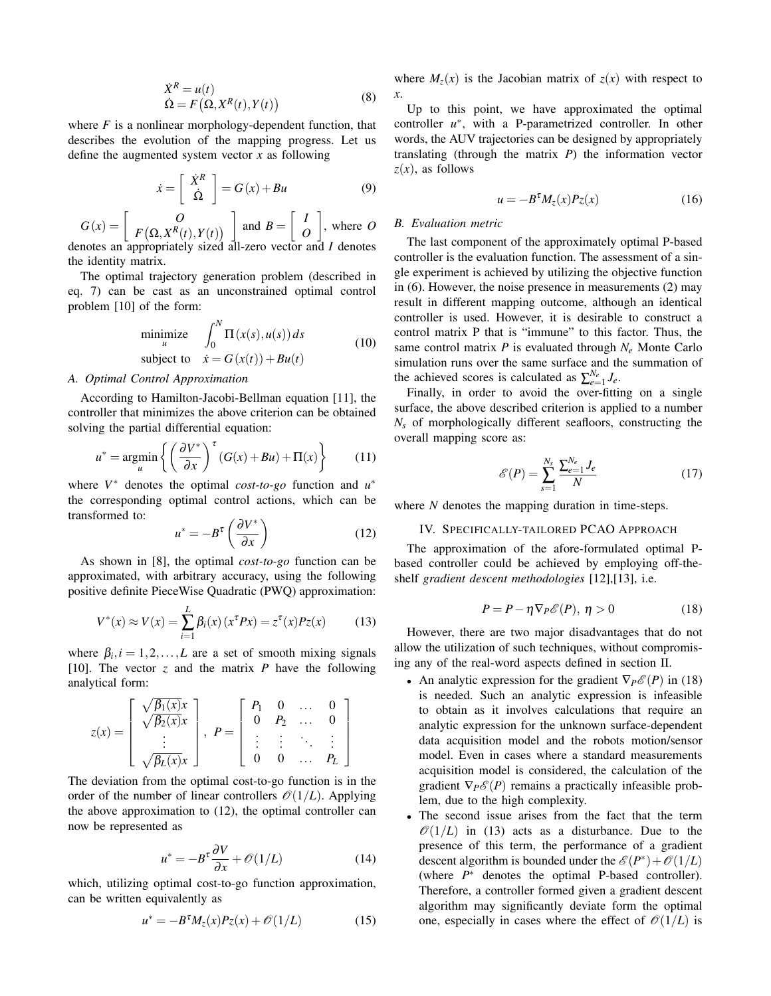$$
\dot{X}^{R} = u(t)
$$
  
\n
$$
\dot{\Omega} = F(\Omega, X^{R}(t), Y(t))
$$
\n(8)

where  $F$  is a nonlinear morphology-dependent function, that describes the evolution of the mapping progress. Let us define the augmented system vector  $x$  as following

$$
\dot{x} = \left[ \begin{array}{c} \dot{X}^R \\ \dot{\Omega} \end{array} \right] = G(x) + Bu \tag{9}
$$

$$
G(x) = \begin{bmatrix} O \\ F(\Omega, X^R(t), Y(t)) \end{bmatrix}
$$
 and  $B = \begin{bmatrix} I \\ O \end{bmatrix}$ , where O denotes an appropriately sized all-zero vector and I denotes

the identity matrix.

The optimal trajectory generation problem (described in eq. 7) can be cast as an unconstrained optimal control problem [10] of the form:

$$
\begin{array}{ll}\text{minimize} & \int_0^N \Pi(x(s), u(s)) \, ds \\ \text{subject to} & \dot{x} = G(x(t)) + Bu(t) \end{array} \tag{10}
$$

### A. Optimal Control Approximation

According to Hamilton-Jacobi-Bellman equation [11], the controller that minimizes the above criterion can be obtained solving the partial differential equation:

$$
u^* = \underset{u}{\text{argmin}} \left\{ \left( \frac{\partial V^*}{\partial x} \right)^{\tau} (G(x) + Bu) + \Pi(x) \right\} \tag{11}
$$

where  $V^*$  denotes the optimal cost-to-go function and  $u^*$ the corresponding optimal control actions, which can be transformed to:

$$
u^* = -B^{\tau} \left( \frac{\partial V^*}{\partial x} \right) \tag{12}
$$

As shown in [8], the optimal  $cost-to-go$  function can be approximated, with arbitrary accuracy, using the following positive definite PieceWise Quadratic (PWQ) approximation:

$$
V^*(x) \approx V(x) = \sum_{i=1}^{L} \beta_i(x) (x^{\tau} P x) = z^{\tau}(x) P z(x)
$$
 (13)

where  $\beta_i$ ,  $i = 1, 2, ..., L$  are a set of smooth mixing signals [10]. The vector z and the matrix P have the following analytical form:

$$
z(x) = \begin{bmatrix} \sqrt{\beta_1(x)}x \\ \sqrt{\beta_2(x)}x \\ \vdots \\ \sqrt{\beta_L(x)}x \end{bmatrix}, \quad P = \begin{bmatrix} P_1 & 0 & \dots & 0 \\ 0 & P_2 & \dots & 0 \\ \vdots & \vdots & \ddots & \vdots \\ 0 & 0 & \dots & P_L \end{bmatrix}
$$

The deviation from the optimal cost-to-go function is in the order of the number of linear controllers  $\mathcal{O}(1/L)$ . Applying the above approximation to  $(12)$ , the optimal controller can now be represented as

$$
u^* = -B^{\tau} \frac{\partial V}{\partial x} + \mathcal{O}(1/L) \tag{14}
$$

which, utilizing optimal cost-to-go function approximation, can be written equivalently as

$$
u^* = -B^{\tau}M_z(x)P_z(x) + \mathcal{O}(1/L) \tag{15}
$$

where  $M_z(x)$  is the Jacobian matrix of  $z(x)$  with respect to  $\mathfrak{X}.$ 

Up to this point, we have approximated the optimal controller  $u^*$ , with a P-parametrized controller. In other words, the AUV trajectories can be designed by appropriately translating (through the matrix  $P$ ) the information vector  $z(x)$ , as follows

$$
u = -B^{\tau} M_z(x) P_z(x) \tag{16}
$$

#### **B.** Evaluation metric

The last component of the approximately optimal P-based controller is the evaluation function. The assessment of a single experiment is achieved by utilizing the objective function in  $(6)$ . However, the noise presence in measurements  $(2)$  may result in different mapping outcome, although an identical controller is used. However, it is desirable to construct a control matrix P that is "immune" to this factor. Thus, the same control matrix P is evaluated through  $N_e$  Monte Carlo simulation runs over the same surface and the summation of the achieved scores is calculated as  $\sum_{e=1}^{N_e} J_e$ .

Finally, in order to avoid the over-fitting on a single surface, the above described criterion is applied to a number  $N_s$  of morphologically different seafloors, constructing the overall mapping score as:

$$
\mathcal{E}(P) = \sum_{s=1}^{N_s} \frac{\sum_{e=1}^{N_e} J_e}{N}
$$
 (17)

where  $N$  denotes the mapping duration in time-steps.

#### IV. SPECIFICALLY-TAILORED PCAO APPROACH

The approximation of the afore-formulated optimal Pbased controller could be achieved by employing off-theshelf gradient descent methodologies [12], [13], i.e.

$$
P = P - \eta \nabla_P \mathcal{E}(P), \ \eta > 0 \tag{18}
$$

However, there are two major disadvantages that do not allow the utilization of such techniques, without compromising any of the real-word aspects defined in section II.

- An analytic expression for the gradient  $\nabla_{P} \mathcal{E}(P)$  in (18) is needed. Such an analytic expression is infeasible to obtain as it involves calculations that require an analytic expression for the unknown surface-dependent data acquisition model and the robots motion/sensor model. Even in cases where a standard measurements acquisition model is considered, the calculation of the gradient  $\nabla_P \mathcal{E}(P)$  remains a practically infeasible problem, due to the high complexity.
- The second issue arises from the fact that the term  $\mathcal{O}(1/L)$  in (13) acts as a disturbance. Due to the presence of this term, the performance of a gradient descent algorithm is bounded under the  $\mathscr{E}(P^*) + \mathscr{O}(1/L)$ (where  $P^*$  denotes the optimal P-based controller). Therefore, a controller formed given a gradient descent algorithm may significantly deviate form the optimal one, especially in cases where the effect of  $\mathcal{O}(1/L)$  is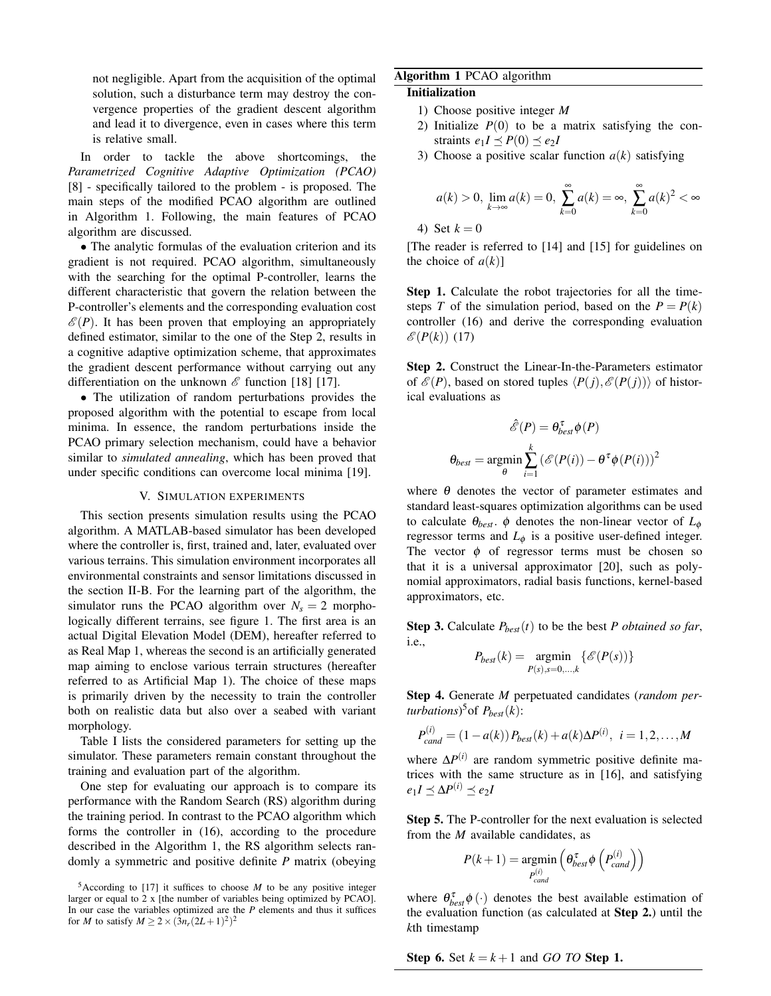not negligible. Apart from the acquisition of the optimal solution, such a disturbance term may destroy the convergence properties of the gradient descent algorithm and lead it to divergence, even in cases where this term is relative small.

In order to tackle the above shortcomings, the Parametrized Cognitive Adaptive Optimization (PCAO) [8] - specifically tailored to the problem - is proposed. The main steps of the modified PCAO algorithm are outlined in Algorithm 1. Following, the main features of PCAO algorithm are discussed.

• The analytic formulas of the evaluation criterion and its gradient is not required. PCAO algorithm, simultaneously with the searching for the optimal P-controller, learns the different characteristic that govern the relation between the P-controller's elements and the corresponding evaluation cost  $\mathscr{E}(P)$ . It has been proven that employing an appropriately defined estimator, similar to the one of the Step 2, results in a cognitive adaptive optimization scheme, that approximates the gradient descent performance without carrying out any differentiation on the unknown  $\mathscr E$  function [18] [17].

• The utilization of random perturbations provides the proposed algorithm with the potential to escape from local minima. In essence, the random perturbations inside the PCAO primary selection mechanism, could have a behavior similar to *simulated annealing*, which has been proved that under specific conditions can overcome local minima [19].

#### V. SIMULATION EXPERIMENTS

This section presents simulation results using the PCAO algorithm. A MATLAB-based simulator has been developed where the controller is, first, trained and, later, evaluated over various terrains. This simulation environment incorporates all environmental constraints and sensor limitations discussed in the section II-B. For the learning part of the algorithm, the simulator runs the PCAO algorithm over  $N_s = 2$  morphologically different terrains, see figure 1. The first area is an actual Digital Elevation Model (DEM), hereafter referred to as Real Map 1, whereas the second is an artificially generated map aiming to enclose various terrain structures (hereafter referred to as Artificial Map 1). The choice of these maps is primarily driven by the necessity to train the controller both on realistic data but also over a seabed with variant morphology.

Table I lists the considered parameters for setting up the simulator. These parameters remain constant throughout the training and evaluation part of the algorithm.

One step for evaluating our approach is to compare its performance with the Random Search (RS) algorithm during the training period. In contrast to the PCAO algorithm which forms the controller in (16), according to the procedure described in the Algorithm 1, the RS algorithm selects randomly a symmetric and positive definite  $P$  matrix (obeying

# Algorithm 1 PCAO algorithm

### **Initialization**

- 1) Choose positive integer  $M$
- 2) Initialize  $P(0)$  to be a matrix satisfying the constraints  $e_1I \preceq P(0) \preceq e_2I$
- 3) Choose a positive scalar function  $a(k)$  satisfying

$$
a(k) > 0
$$
,  $\lim_{k \to \infty} a(k) = 0$ ,  $\sum_{k=0}^{\infty} a(k) = \infty$ ,  $\sum_{k=0}^{\infty} a(k)^2 < \infty$ 

4) Set  $k=0$ 

[The reader is referred to [14] and [15] for guidelines on the choice of  $a(k)$ ]

Step 1. Calculate the robot trajectories for all the timesteps T of the simulation period, based on the  $P = P(k)$ controller (16) and derive the corresponding evaluation  $\mathscr{E}(P(k))$  (17)

Step 2. Construct the Linear-In-the-Parameters estimator of  $\mathcal{E}(P)$ , based on stored tuples  $\langle P(j), \mathcal{E}(P(j)) \rangle$  of historical evaluations as

$$
\mathcal{E}(P) = \theta_{best}^{\tau} \phi(P)
$$

$$
\theta_{best} = \operatorname*{argmin}_{\theta} \sum_{i=1}^{k} (\mathcal{E}(P(i)) - \theta^{\tau} \phi(P(i)))^2
$$

where  $\theta$  denotes the vector of parameter estimates and standard least-squares optimization algorithms can be used to calculate  $\theta_{best}$ .  $\phi$  denotes the non-linear vector of  $L_{\phi}$ regressor terms and  $L_{\phi}$  is a positive user-defined integer. The vector  $\phi$  of regressor terms must be chosen so that it is a universal approximator [20], such as polynomial approximators, radial basis functions, kernel-based approximators, etc.

**Step 3.** Calculate  $P_{best}(t)$  to be the best P obtained so far, *i.e.*,

$$
P_{best}(k) = \underset{P(s), s=0,\ldots,k}{\text{argmin}} \{\mathscr{E}(P(s))\}
$$

Step 4. Generate M perpetuated candidates (random perturbations)<sup>5</sup> of  $P_{best}(k)$ :

$$
P_{cand}^{(i)} = (1 - a(k)) P_{best}(k) + a(k) \Delta P^{(i)}, \ i = 1, 2, ..., M
$$

where  $\Delta P^{(i)}$  are random symmetric positive definite matrices with the same structure as in [16], and satisfying  $e_1I \preceq \Delta P^{(i)} \preceq e_2I$ 

Step 5. The P-controller for the next evaluation is selected from the  $M$  available candidates, as

$$
P(k+1) = \underset{P_{cand}^{(i)}}{\text{argmin}} \left( \theta_{best}^{\tau} \phi \left( P_{cand}^{(i)} \right) \right)
$$

where  $\theta_{best}^{\tau}$   $\phi(\cdot)$  denotes the best available estimation of the evaluation function (as calculated at Step 2.) until the kth timestamp

**Step 6.** Set 
$$
k = k + 1
$$
 and *GO TO* **Step 1**

<sup>&</sup>lt;sup>5</sup>According to [17] it suffices to choose  $M$  to be any positive integer larger or equal to 2 x [the number of variables being optimized by PCAO]. In our case the variables optimized are the  $P$  elements and thus it suffices for M to satisfy  $M \ge 2 \times (3n_r(2L+1)^2)^2$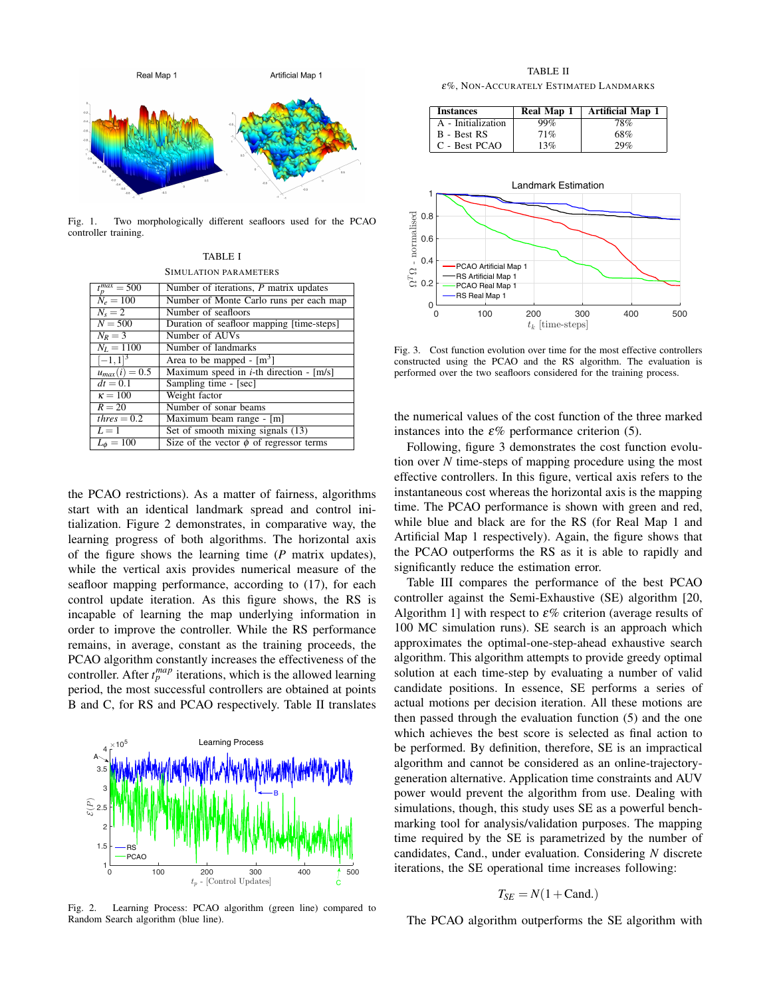

Fig. 1. Two morphologically different seafloors used for the PCAO controller training.

| TABLE I               |
|-----------------------|
| SIMULATION PARAMETERS |

| $t_p^{max} = 500$  | Number of iterations, $P$ matrix updates     |
|--------------------|----------------------------------------------|
| $N_e = 100$        | Number of Monte Carlo runs per each map      |
| $N_s = 2$          | Number of seafloors                          |
| $N = 500$          | Duration of seafloor mapping [time-steps]    |
| $N_R=3$            | Number of AUVs                               |
| $N_L = 1100$       | Number of landmarks                          |
| $[-1,1]^{3}$       | Area to be mapped - $[m^3]$                  |
| $u_{max}(i) = 0.5$ | Maximum speed in $i$ -th direction - [m/s]   |
| $dt = 0.1$         | Sampling time - [sec]                        |
| $\kappa = 100$     | Weight factor                                |
| $R=20$             | Number of sonar beams                        |
| $thres = 0.2$      | Maximum beam range - [m]                     |
| $L=1$              | Set of smooth mixing signals (13)            |
| $L_{\phi} = 100$   | Size of the vector $\phi$ of regressor terms |

the PCAO restrictions). As a matter of fairness, algorithms start with an identical landmark spread and control initialization. Figure 2 demonstrates, in comparative way, the learning progress of both algorithms. The horizontal axis of the figure shows the learning time  $(P \text{ matrix updates})$ , while the vertical axis provides numerical measure of the seafloor mapping performance, according to (17), for each control update iteration. As this figure shows, the RS is incapable of learning the map underlying information in order to improve the controller. While the RS performance remains, in average, constant as the training proceeds, the PCAO algorithm constantly increases the effectiveness of the controller. After  $t_p^{map}$  iterations, which is the allowed learning period, the most successful controllers are obtained at points B and C, for RS and PCAO respectively. Table II translates



Learning Process: PCAO algorithm (green line) compared to Fig.  $2$ . Random Search algorithm (blue line).

**TABLE II** 

 $\varepsilon\%$ , NON-ACCURATELY ESTIMATED LANDMARKS

| <b>Instances</b>   | Real Map 1 | <b>Artificial Map 1</b> |
|--------------------|------------|-------------------------|
| A - Initialization | 99%        | 78%                     |
| B - Best RS        | 71%        | 68%                     |
| C - Best PCAO      | 13%        | 29%                     |



Fig. 3. Cost function evolution over time for the most effective controllers constructed using the PCAO and the RS algorithm. The evaluation is performed over the two seafloors considered for the training process.

the numerical values of the cost function of the three marked instances into the  $\varepsilon\%$  performance criterion (5).

Following, figure 3 demonstrates the cost function evolution over  $N$  time-steps of mapping procedure using the most effective controllers. In this figure, vertical axis refers to the instantaneous cost whereas the horizontal axis is the mapping time. The PCAO performance is shown with green and red, while blue and black are for the RS (for Real Map 1 and Artificial Map 1 respectively). Again, the figure shows that the PCAO outperforms the RS as it is able to rapidly and significantly reduce the estimation error.

Table III compares the performance of the best PCAO controller against the Semi-Exhaustive (SE) algorithm [20, Algorithm 1] with respect to  $\varepsilon\%$  criterion (average results of 100 MC simulation runs). SE search is an approach which approximates the optimal-one-step-ahead exhaustive search algorithm. This algorithm attempts to provide greedy optimal solution at each time-step by evaluating a number of valid candidate positions. In essence, SE performs a series of actual motions per decision iteration. All these motions are then passed through the evaluation function (5) and the one which achieves the best score is selected as final action to be performed. By definition, therefore, SE is an impractical algorithm and cannot be considered as an online-trajectorygeneration alternative. Application time constraints and AUV power would prevent the algorithm from use. Dealing with simulations, though, this study uses SE as a powerful benchmarking tool for analysis/validation purposes. The mapping time required by the SE is parametrized by the number of candidates, Cand., under evaluation. Considering N discrete iterations, the SE operational time increases following:

$$
T_{SE} = N(1 + \text{Cand.})
$$

The PCAO algorithm outperforms the SE algorithm with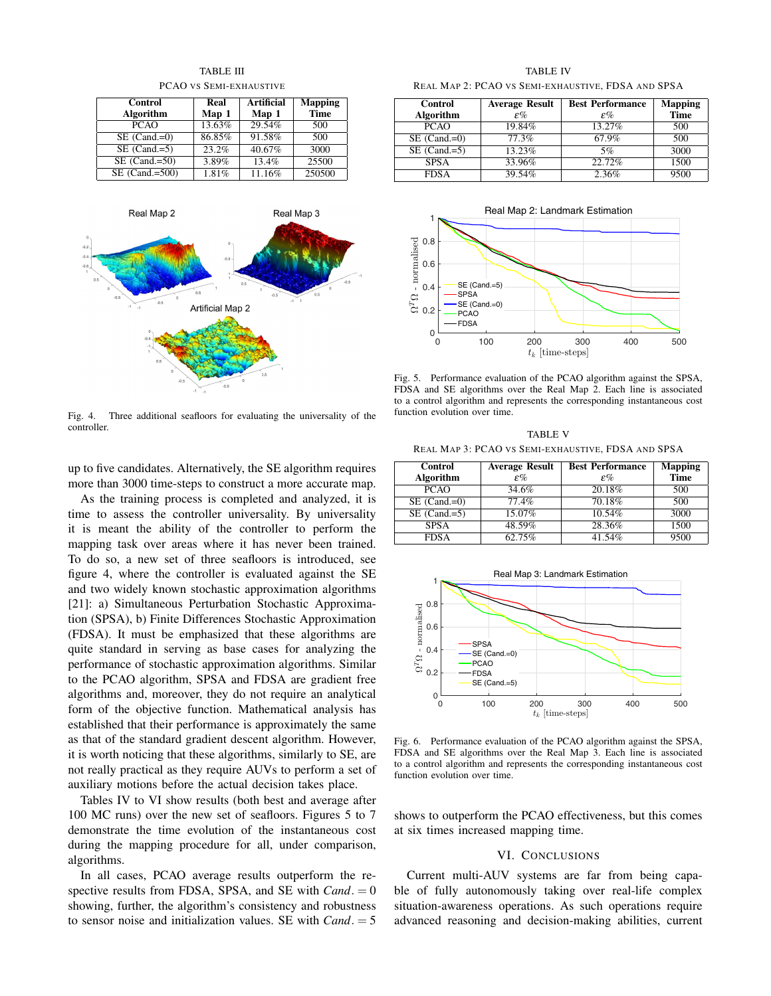

**TABLE III** 

PCAO VS SEMI-EXHAUSTIVE



 $Fig. 4.$ Three additional seafloors for evaluating the universality of the controller

up to five candidates. Alternatively, the SE algorithm requires more than 3000 time-steps to construct a more accurate map.

As the training process is completed and analyzed, it is time to assess the controller universality. By universality it is meant the ability of the controller to perform the mapping task over areas where it has never been trained. To do so, a new set of three seafloors is introduced, see figure 4, where the controller is evaluated against the SE and two widely known stochastic approximation algorithms [21]: a) Simultaneous Perturbation Stochastic Approximation (SPSA), b) Finite Differences Stochastic Approximation (FDSA). It must be emphasized that these algorithms are quite standard in serving as base cases for analyzing the performance of stochastic approximation algorithms. Similar to the PCAO algorithm, SPSA and FDSA are gradient free algorithms and, moreover, they do not require an analytical form of the objective function. Mathematical analysis has established that their performance is approximately the same as that of the standard gradient descent algorithm. However, it is worth noticing that these algorithms, similarly to SE, are not really practical as they require AUVs to perform a set of auxiliary motions before the actual decision takes place.

Tables IV to VI show results (both best and average after 100 MC runs) over the new set of seafloors. Figures 5 to 7 demonstrate the time evolution of the instantaneous cost during the mapping procedure for all, under comparison, algorithms.

In all cases, PCAO average results outperform the respective results from FDSA, SPSA, and SE with  $Cand = 0$ showing, further, the algorithm's consistency and robustness to sensor noise and initialization values. SE with  $Cand = 5$ 

**TABLE IV** REAL MAP 2: PCAO VS SEMI-EXHAUSTIVE, FDSA AND SPSA

| Control         | <b>Average Result</b> | <b>Best Performance</b> | <b>Mapping</b> |
|-----------------|-----------------------|-------------------------|----------------|
| Algorithm       | $\varepsilon\%$       | $\varepsilon\%$         | <b>Time</b>    |
| <b>PCAO</b>     | 19.84%                | 13.27%                  | 500            |
| $SE (Cand = 0)$ | 77.3%                 | 67.9%                   | 500            |
| $SE (Cand = 5)$ | 13.23%                | 5%                      | 3000           |
| <b>SPSA</b>     | 33.96%                | 22.72%                  | 1500           |
| <b>FDSA</b>     | 39.54%                | 2.36%                   | 9500           |



Fig. 5. Performance evaluation of the PCAO algorithm against the SPSA, FDSA and SE algorithms over the Real Map 2. Each line is associated to a control algorithm and represents the corresponding instantaneous cost function evolution over time.

**TABLE V** REAL MAP 3: PCAO VS SEMI-EXHAUSTIVE, FDSA AND SPSA

| <b>Control</b> |               | Average Result   Best Performance   Mapping |  |
|----------------|---------------|---------------------------------------------|--|
|                |               |                                             |  |
| $1 - 1 - 1$    | $\sim$ $\sim$ | $\sim$ $\alpha$                             |  |

 $\Box$ 

| Algorithm       | $\varepsilon\%$ | $\varepsilon\%$ | <b>Time</b> |
|-----------------|-----------------|-----------------|-------------|
| <b>PCAO</b>     | 34.6%           | 20.18%          | 500         |
| $SE (Cand = 0)$ | 77.4%           | 70.18%          | 500         |
| $SE (Cand = 5)$ | 15.07%          | 10.54%          | 3000        |
| <b>SPSA</b>     | 48.59%          | 28.36%          | 1500        |
| <b>FDSA</b>     | 62.75%          | 41.54%          | 9500        |



Fig. 6. Performance evaluation of the PCAO algorithm against the SPSA, FDSA and SE algorithms over the Real Map 3. Each line is associated to a control algorithm and represents the corresponding instantaneous cost function evolution over time.

shows to outperform the PCAO effectiveness, but this comes at six times increased mapping time.

# VI. CONCLUSIONS

Current multi-AUV systems are far from being capable of fully autonomously taking over real-life complex situation-awareness operations. As such operations require advanced reasoning and decision-making abilities, current